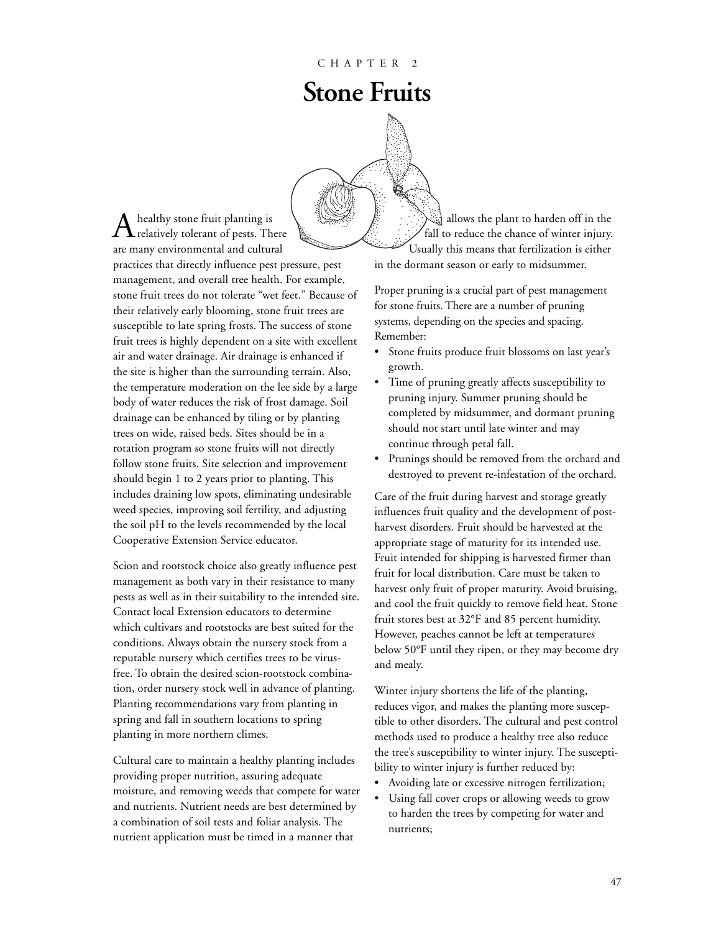# **Stone Fruits**



 ${\displaystyle \bigwedge^{h} }$  healthy stone fruit planting is<br>relatively tolerant of pests. There are many environmental and cultural practices that directly influence pest pressure, pest management, and overall tree health. For example, stone fruit trees do not tolerate "wet feet." Because of their relatively early blooming, stone fruit trees are susceptible to late spring frosts. The success of stone fruit trees is highly dependent on a site with excellent air and water drainage. Air drainage is enhanced if the site is higher than the surrounding terrain. Also, the temperature moderation on the lee side by a large body of water reduces the risk of frost damage. Soil drainage can be enhanced by tiling or by planting trees on wide, raised beds. Sites should be in a rotation program so stone fruits will not directly follow stone fruits. Site selection and improvement should begin 1 to 2 years prior to planting. This includes draining low spots, eliminating undesirable weed species, improving soil fertility, and adjusting the soil pH to the levels recommended by the local Cooperative Extension Service educator.

Scion and rootstock choice also greatly influence pest management as both vary in their resistance to many pests as well as in their suitability to the intended site. Contact local Extension educators to determine which cultivars and rootstocks are best suited for the conditions. Always obtain the nursery stock from a reputable nursery which certifies trees to be virusfree. To obtain the desired scion-rootstock combination, order nursery stock well in advance of planting. Planting recommendations vary from planting in spring and fall in southern locations to spring planting in more northern climes.

Cultural care to maintain a healthy planting includes providing proper nutrition, assuring adequate moisture, and removing weeds that compete for water and nutrients. Nutrient needs are best determined by a combination of soil tests and foliar analysis. The nutrient application must be timed in a manner that

allows the plant to harden off in the fall to reduce the chance of winter injury. Usually this means that fertilization is either

in the dormant season or early to midsummer.

Proper pruning is a crucial part of pest management for stone fruits. There are a number of pruning systems, depending on the species and spacing. Remember:

- Stone fruits produce fruit blossoms on last year's growth.
- Time of pruning greatly affects susceptibility to pruning injury. Summer pruning should be completed by midsummer, and dormant pruning should not start until late winter and may continue through petal fall.
- Prunings should be removed from the orchard and destroyed to prevent re-infestation of the orchard.

Care of the fruit during harvest and storage greatly influences fruit quality and the development of postharvest disorders. Fruit should be harvested at the appropriate stage of maturity for its intended use. Fruit intended for shipping is harvested firmer than fruit for local distribution. Care must be taken to harvest only fruit of proper maturity. Avoid bruising, and cool the fruit quickly to remove field heat. Stone fruit stores best at 32°F and 85 percent humidity. However, peaches cannot be left at temperatures below 50°F until they ripen, or they may become dry and mealy.

Winter injury shortens the life of the planting, reduces vigor, and makes the planting more susceptible to other disorders. The cultural and pest control methods used to produce a healthy tree also reduce the tree's susceptibility to winter injury. The susceptibility to winter injury is further reduced by:

- Avoiding late or excessive nitrogen fertilization;
- Using fall cover crops or allowing weeds to grow to harden the trees by competing for water and nutrients;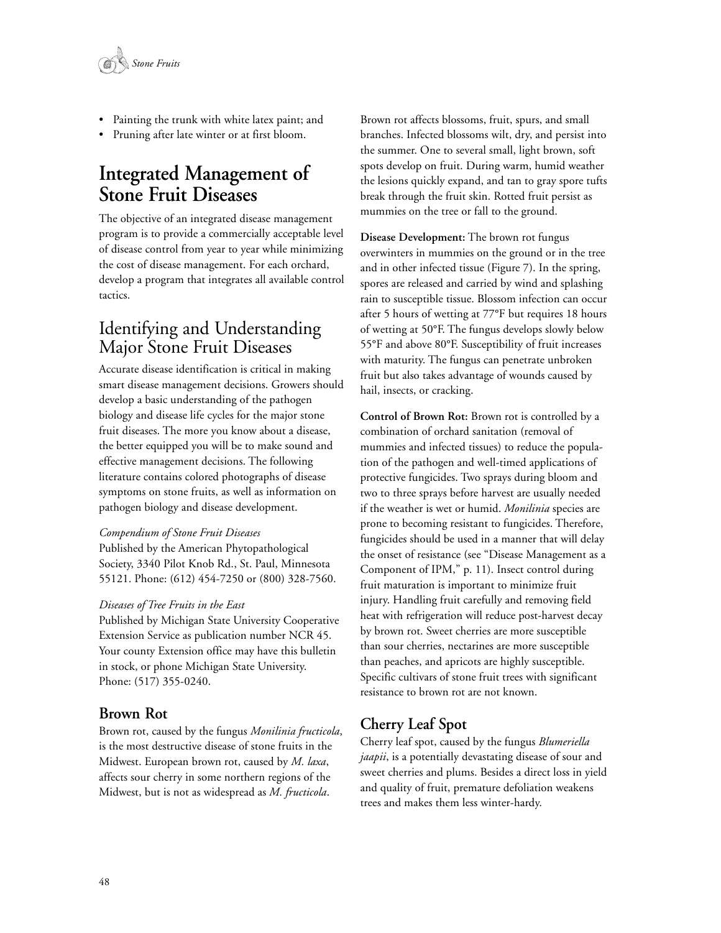

- Painting the trunk with white latex paint; and
- Pruning after late winter or at first bloom.

# **Integrated Management of Stone Fruit Diseases**

The objective of an integrated disease management program is to provide a commercially acceptable level of disease control from year to year while minimizing the cost of disease management. For each orchard, develop a program that integrates all available control tactics.

# Identifying and Understanding Major Stone Fruit Diseases

Accurate disease identification is critical in making smart disease management decisions. Growers should develop a basic understanding of the pathogen biology and disease life cycles for the major stone fruit diseases. The more you know about a disease, the better equipped you will be to make sound and effective management decisions. The following literature contains colored photographs of disease symptoms on stone fruits, as well as information on pathogen biology and disease development.

#### *Compendium of Stone Fruit Diseases*

Published by the American Phytopathological Society, 3340 Pilot Knob Rd., St. Paul, Minnesota 55121. Phone: (612) 454-7250 or (800) 328-7560.

#### *Diseases of Tree Fruits in the East*

Published by Michigan State University Cooperative Extension Service as publication number NCR 45. Your county Extension office may have this bulletin in stock, or phone Michigan State University. Phone: (517) 355-0240.

#### **Brown Rot**

Brown rot, caused by the fungus *Monilinia fructicola*, is the most destructive disease of stone fruits in the Midwest. European brown rot, caused by *M. laxa*, affects sour cherry in some northern regions of the Midwest, but is not as widespread as *M. fructicola*.

Brown rot affects blossoms, fruit, spurs, and small branches. Infected blossoms wilt, dry, and persist into the summer. One to several small, light brown, soft spots develop on fruit. During warm, humid weather the lesions quickly expand, and tan to gray spore tufts break through the fruit skin. Rotted fruit persist as mummies on the tree or fall to the ground.

**Disease Development:** The brown rot fungus overwinters in mummies on the ground or in the tree and in other infected tissue (Figure 7). In the spring, spores are released and carried by wind and splashing rain to susceptible tissue. Blossom infection can occur after 5 hours of wetting at 77°F but requires 18 hours of wetting at 50°F. The fungus develops slowly below 55°F and above 80°F. Susceptibility of fruit increases with maturity. The fungus can penetrate unbroken fruit but also takes advantage of wounds caused by hail, insects, or cracking.

**Control of Brown Rot:** Brown rot is controlled by a combination of orchard sanitation (removal of mummies and infected tissues) to reduce the population of the pathogen and well-timed applications of protective fungicides. Two sprays during bloom and two to three sprays before harvest are usually needed if the weather is wet or humid. *Monilinia* species are prone to becoming resistant to fungicides. Therefore, fungicides should be used in a manner that will delay the onset of resistance (see "Disease Management as a Component of IPM," p. 11). Insect control during fruit maturation is important to minimize fruit injury. Handling fruit carefully and removing field heat with refrigeration will reduce post-harvest decay by brown rot. Sweet cherries are more susceptible than sour cherries, nectarines are more susceptible than peaches, and apricots are highly susceptible. Specific cultivars of stone fruit trees with significant resistance to brown rot are not known.

# **Cherry Leaf Spot**

Cherry leaf spot, caused by the fungus *Blumeriella jaapii*, is a potentially devastating disease of sour and sweet cherries and plums. Besides a direct loss in yield and quality of fruit, premature defoliation weakens trees and makes them less winter-hardy.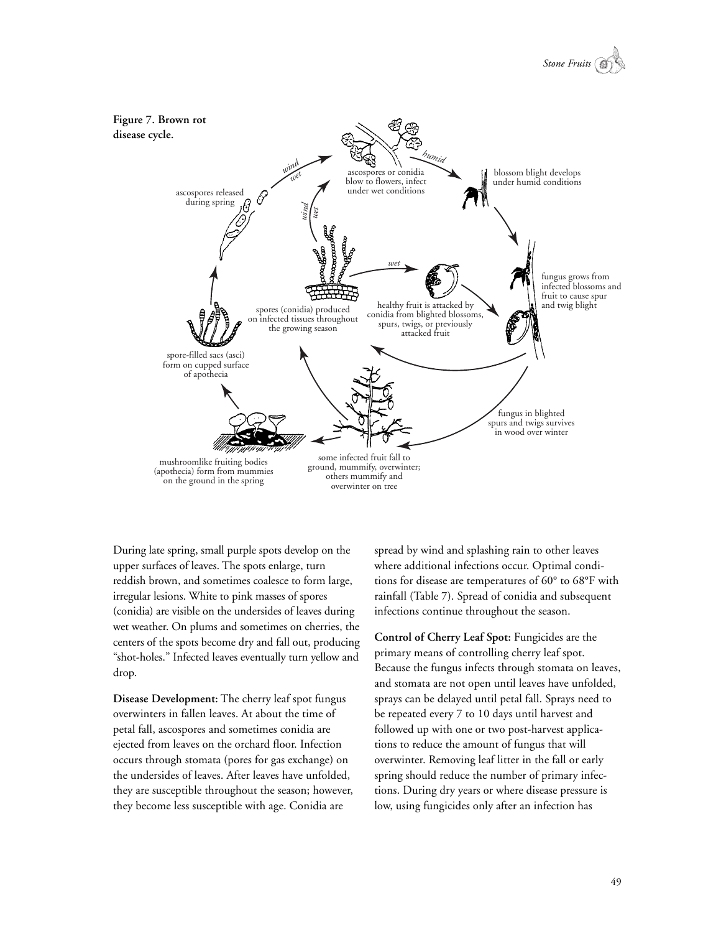



During late spring, small purple spots develop on the upper surfaces of leaves. The spots enlarge, turn reddish brown, and sometimes coalesce to form large, irregular lesions. White to pink masses of spores (conidia) are visible on the undersides of leaves during wet weather. On plums and sometimes on cherries, the centers of the spots become dry and fall out, producing "shot-holes." Infected leaves eventually turn yellow and drop.

**Disease Development:** The cherry leaf spot fungus overwinters in fallen leaves. At about the time of petal fall, ascospores and sometimes conidia are ejected from leaves on the orchard floor. Infection occurs through stomata (pores for gas exchange) on the undersides of leaves. After leaves have unfolded, they are susceptible throughout the season; however, they become less susceptible with age. Conidia are

spread by wind and splashing rain to other leaves where additional infections occur. Optimal conditions for disease are temperatures of 60° to 68°F with rainfall (Table 7). Spread of conidia and subsequent infections continue throughout the season.

**Control of Cherry Leaf Spot:** Fungicides are the primary means of controlling cherry leaf spot. Because the fungus infects through stomata on leaves, and stomata are not open until leaves have unfolded, sprays can be delayed until petal fall. Sprays need to be repeated every 7 to 10 days until harvest and followed up with one or two post-harvest applications to reduce the amount of fungus that will overwinter. Removing leaf litter in the fall or early spring should reduce the number of primary infections. During dry years or where disease pressure is low, using fungicides only after an infection has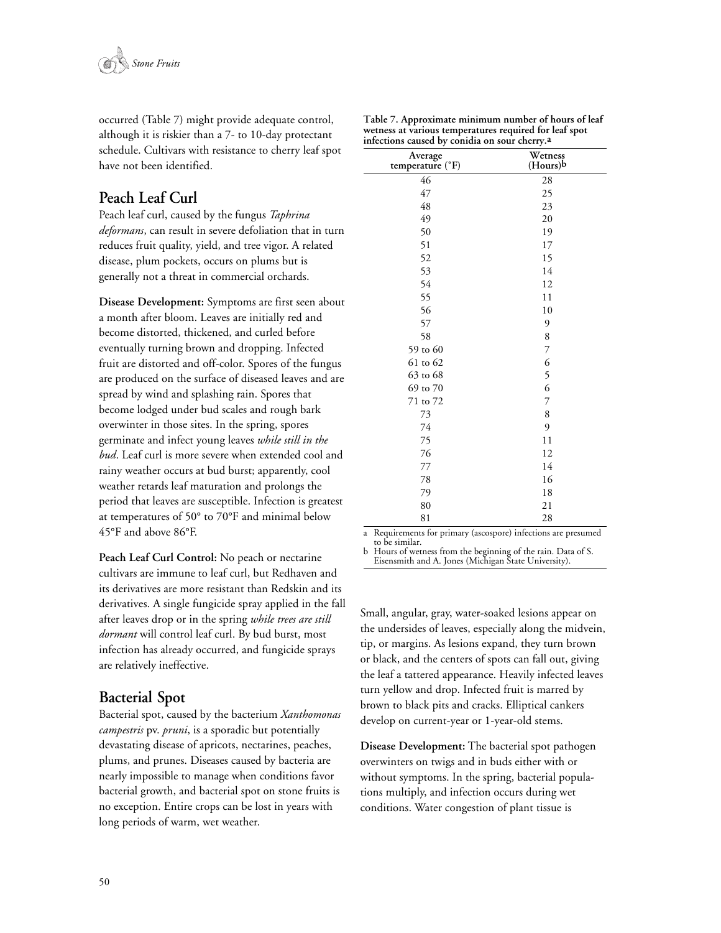

occurred (Table 7) might provide adequate control, although it is riskier than a 7- to 10-day protectant schedule. Cultivars with resistance to cherry leaf spot have not been identified.

### **Peach Leaf Curl**

Peach leaf curl, caused by the fungus *Taphrina deformans*, can result in severe defoliation that in turn reduces fruit quality, yield, and tree vigor. A related disease, plum pockets, occurs on plums but is generally not a threat in commercial orchards.

**Disease Development:** Symptoms are first seen about a month after bloom. Leaves are initially red and become distorted, thickened, and curled before eventually turning brown and dropping. Infected fruit are distorted and off-color. Spores of the fungus are produced on the surface of diseased leaves and are spread by wind and splashing rain. Spores that become lodged under bud scales and rough bark overwinter in those sites. In the spring, spores germinate and infect young leaves *while still in the bud*. Leaf curl is more severe when extended cool and rainy weather occurs at bud burst; apparently, cool weather retards leaf maturation and prolongs the period that leaves are susceptible. Infection is greatest at temperatures of 50° to 70°F and minimal below 45°F and above 86°F.

**Peach Leaf Curl Control:** No peach or nectarine cultivars are immune to leaf curl, but Redhaven and its derivatives are more resistant than Redskin and its derivatives. A single fungicide spray applied in the fall after leaves drop or in the spring *while trees are still dormant* will control leaf curl. By bud burst, most infection has already occurred, and fungicide sprays are relatively ineffective.

#### **Bacterial Spot**

Bacterial spot, caused by the bacterium *Xanthomonas campestris* pv. *pruni*, is a sporadic but potentially devastating disease of apricots, nectarines, peaches, plums, and prunes. Diseases caused by bacteria are nearly impossible to manage when conditions favor bacterial growth, and bacterial spot on stone fruits is no exception. Entire crops can be lost in years with long periods of warm, wet weather.

| Average<br>temperature (°F) | J<br>Wetness<br>(Hours)b |  |  |  |  |  |  |  |  |
|-----------------------------|--------------------------|--|--|--|--|--|--|--|--|
| 46                          | 28                       |  |  |  |  |  |  |  |  |
| 47                          | 25                       |  |  |  |  |  |  |  |  |
| 48                          | 23                       |  |  |  |  |  |  |  |  |
| 49                          | 20                       |  |  |  |  |  |  |  |  |
| 50                          | 19                       |  |  |  |  |  |  |  |  |
| 51                          | 17                       |  |  |  |  |  |  |  |  |
| 52                          | 15                       |  |  |  |  |  |  |  |  |
| 53                          | 14                       |  |  |  |  |  |  |  |  |
| 54                          | 12                       |  |  |  |  |  |  |  |  |
| 55                          | 11                       |  |  |  |  |  |  |  |  |
| 56                          | 10                       |  |  |  |  |  |  |  |  |
| 57                          | 9                        |  |  |  |  |  |  |  |  |
| 58                          | 8                        |  |  |  |  |  |  |  |  |
| 59 to 60                    | 7                        |  |  |  |  |  |  |  |  |
| 61 to 62                    | 6                        |  |  |  |  |  |  |  |  |
| 63 to 68                    | 5                        |  |  |  |  |  |  |  |  |
| 69 to 70                    | 6                        |  |  |  |  |  |  |  |  |
| 71 to 72                    | 7                        |  |  |  |  |  |  |  |  |
| 73                          | 8                        |  |  |  |  |  |  |  |  |
| 74                          | 9                        |  |  |  |  |  |  |  |  |
| 75                          | 11                       |  |  |  |  |  |  |  |  |
| 76                          | 12                       |  |  |  |  |  |  |  |  |
| 77                          | 14                       |  |  |  |  |  |  |  |  |
| 78                          | 16                       |  |  |  |  |  |  |  |  |
| 79                          | 18                       |  |  |  |  |  |  |  |  |
| 80                          | 21                       |  |  |  |  |  |  |  |  |
| 81                          | 28                       |  |  |  |  |  |  |  |  |

**Table 7. Approximate minimum number of hours of leaf wetness at various temperatures required for leaf spot infections caused by conidia on sour cherry.a**

a Requirements for primary (ascospore) infections are presumed to be similar.

b Hours of wetness from the beginning of the rain. Data of S. Eisensmith and A. Jones (Michigan State University).

Small, angular, gray, water-soaked lesions appear on the undersides of leaves, especially along the midvein, tip, or margins. As lesions expand, they turn brown or black, and the centers of spots can fall out, giving the leaf a tattered appearance. Heavily infected leaves turn yellow and drop. Infected fruit is marred by brown to black pits and cracks. Elliptical cankers develop on current-year or 1-year-old stems.

**Disease Development:** The bacterial spot pathogen overwinters on twigs and in buds either with or without symptoms. In the spring, bacterial populations multiply, and infection occurs during wet conditions. Water congestion of plant tissue is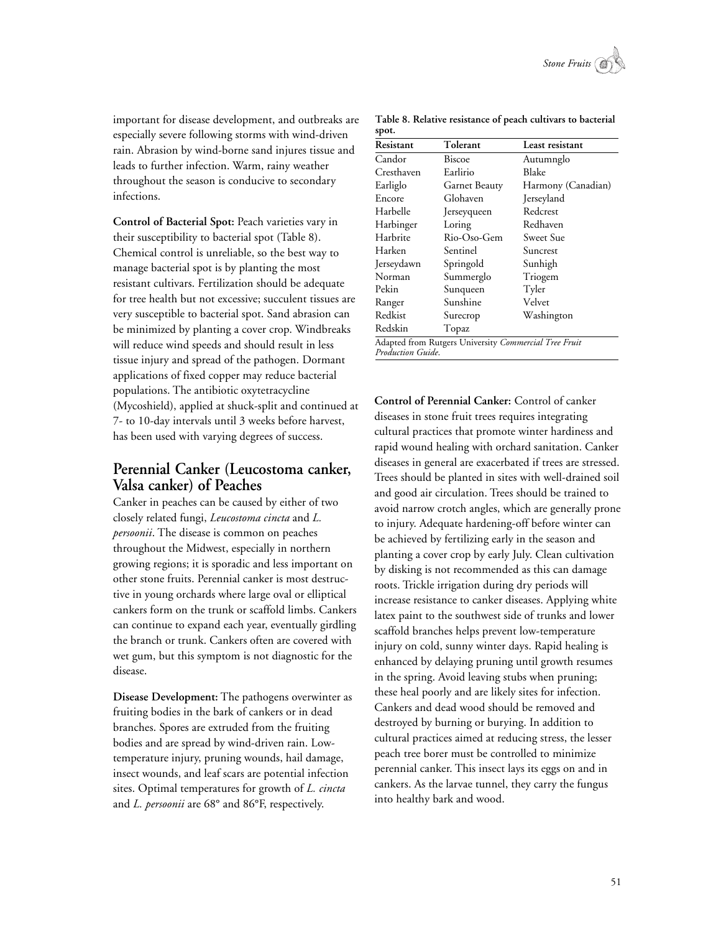

important for disease development, and outbreaks are especially severe following storms with wind-driven rain. Abrasion by wind-borne sand injures tissue and leads to further infection. Warm, rainy weather throughout the season is conducive to secondary infections.

**Control of Bacterial Spot:** Peach varieties vary in their susceptibility to bacterial spot (Table 8). Chemical control is unreliable, so the best way to manage bacterial spot is by planting the most resistant cultivars. Fertilization should be adequate for tree health but not excessive; succulent tissues are very susceptible to bacterial spot. Sand abrasion can be minimized by planting a cover crop. Windbreaks will reduce wind speeds and should result in less tissue injury and spread of the pathogen. Dormant applications of fixed copper may reduce bacterial populations. The antibiotic oxytetracycline (Mycoshield), applied at shuck-split and continued at 7- to 10-day intervals until 3 weeks before harvest, has been used with varying degrees of success.

# **Perennial Canker (Leucostoma canker, Valsa canker) of Peaches**

Canker in peaches can be caused by either of two closely related fungi, *Leucostoma cincta* and *L. persoonii*. The disease is common on peaches throughout the Midwest, especially in northern growing regions; it is sporadic and less important on other stone fruits. Perennial canker is most destructive in young orchards where large oval or elliptical cankers form on the trunk or scaffold limbs. Cankers can continue to expand each year, eventually girdling the branch or trunk. Cankers often are covered with wet gum, but this symptom is not diagnostic for the disease.

**Disease Development:** The pathogens overwinter as fruiting bodies in the bark of cankers or in dead branches. Spores are extruded from the fruiting bodies and are spread by wind-driven rain. Lowtemperature injury, pruning wounds, hail damage, insect wounds, and leaf scars are potential infection sites. Optimal temperatures for growth of *L. cincta* and *L. persoonii* are 68° and 86°F, respectively.

| spot.                   |                                                       |                    |  |  |  |  |  |  |
|-------------------------|-------------------------------------------------------|--------------------|--|--|--|--|--|--|
| Resistant               | Tolerant                                              | Least resistant    |  |  |  |  |  |  |
| Candor<br>Biscoe        |                                                       | Autumnglo          |  |  |  |  |  |  |
| Cresthaven              | Earlirio                                              | Blake              |  |  |  |  |  |  |
| Earliglo                | Garnet Beauty                                         | Harmony (Canadian) |  |  |  |  |  |  |
| Glohaven<br>Encore      |                                                       | Jerseyland         |  |  |  |  |  |  |
| Harbelle<br>Jerseyqueen |                                                       | Redcrest           |  |  |  |  |  |  |
| Harbinger<br>Loring     |                                                       | Redhaven           |  |  |  |  |  |  |
| Harbrite                | Rio-Oso-Gem                                           | Sweet Sue          |  |  |  |  |  |  |
| Harken                  | Sentinel                                              | Suncrest           |  |  |  |  |  |  |
| Jerseydawn              | Springold                                             | Sunhigh            |  |  |  |  |  |  |
| Norman                  | Summerglo                                             | Triogem            |  |  |  |  |  |  |
| Pekin                   | Sunqueen                                              | Tyler              |  |  |  |  |  |  |
| Ranger                  | Sunshine                                              | Velvet             |  |  |  |  |  |  |
| Redkist                 | Surecrop                                              | Washington         |  |  |  |  |  |  |
| Redskin                 | Topaz                                                 |                    |  |  |  |  |  |  |
| Production Guide.       | Adapted from Rutgers University Commercial Tree Fruit |                    |  |  |  |  |  |  |

**Table 8. Relative resistance of peach cultivars to bacterial**

**Control of Perennial Canker:** Control of canker diseases in stone fruit trees requires integrating cultural practices that promote winter hardiness and rapid wound healing with orchard sanitation. Canker diseases in general are exacerbated if trees are stressed. Trees should be planted in sites with well-drained soil and good air circulation. Trees should be trained to avoid narrow crotch angles, which are generally prone to injury. Adequate hardening-off before winter can be achieved by fertilizing early in the season and planting a cover crop by early July. Clean cultivation by disking is not recommended as this can damage roots. Trickle irrigation during dry periods will increase resistance to canker diseases. Applying white latex paint to the southwest side of trunks and lower scaffold branches helps prevent low-temperature injury on cold, sunny winter days. Rapid healing is enhanced by delaying pruning until growth resumes in the spring. Avoid leaving stubs when pruning; these heal poorly and are likely sites for infection. Cankers and dead wood should be removed and destroyed by burning or burying. In addition to cultural practices aimed at reducing stress, the lesser peach tree borer must be controlled to minimize perennial canker. This insect lays its eggs on and in cankers. As the larvae tunnel, they carry the fungus into healthy bark and wood.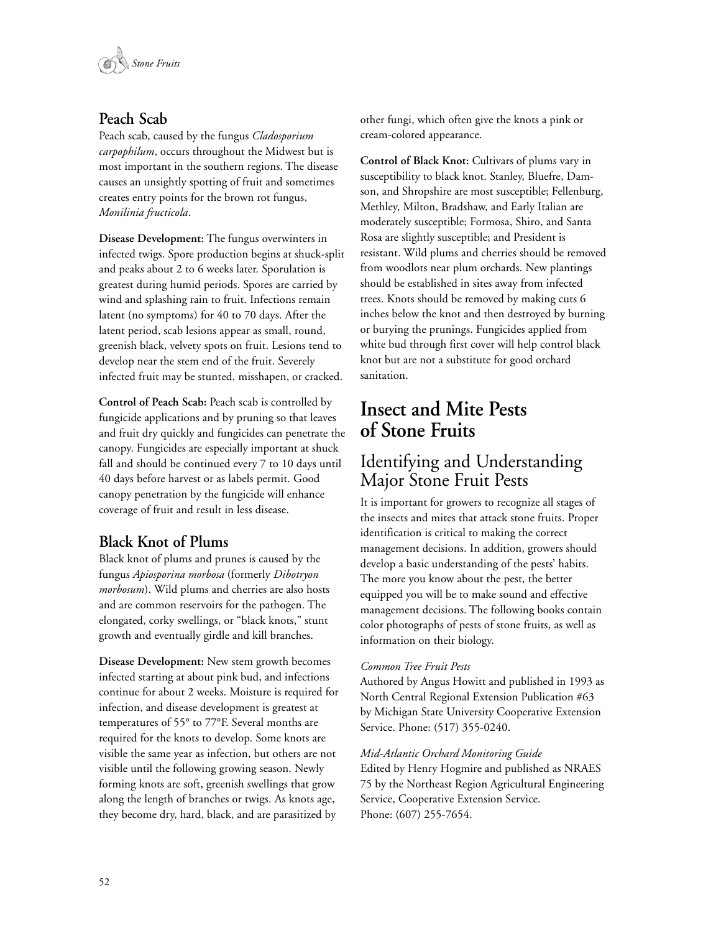

## **Peach Scab**

Peach scab, caused by the fungus *Cladosporium carpophilum*, occurs throughout the Midwest but is most important in the southern regions. The disease causes an unsightly spotting of fruit and sometimes creates entry points for the brown rot fungus, *Monilinia fructicola*.

**Disease Development:** The fungus overwinters in infected twigs. Spore production begins at shuck-split and peaks about 2 to 6 weeks later. Sporulation is greatest during humid periods. Spores are carried by wind and splashing rain to fruit. Infections remain latent (no symptoms) for 40 to 70 days. After the latent period, scab lesions appear as small, round, greenish black, velvety spots on fruit. Lesions tend to develop near the stem end of the fruit. Severely infected fruit may be stunted, misshapen, or cracked.

**Control of Peach Scab:** Peach scab is controlled by fungicide applications and by pruning so that leaves and fruit dry quickly and fungicides can penetrate the canopy. Fungicides are especially important at shuck fall and should be continued every 7 to 10 days until 40 days before harvest or as labels permit. Good canopy penetration by the fungicide will enhance coverage of fruit and result in less disease.

### **Black Knot of Plums**

Black knot of plums and prunes is caused by the fungus *Apiosporina morbosa* (formerly *Dibotryon morbosum*). Wild plums and cherries are also hosts and are common reservoirs for the pathogen. The elongated, corky swellings, or "black knots," stunt growth and eventually girdle and kill branches.

**Disease Development:** New stem growth becomes infected starting at about pink bud, and infections continue for about 2 weeks. Moisture is required for infection, and disease development is greatest at temperatures of 55° to 77°F. Several months are required for the knots to develop. Some knots are visible the same year as infection, but others are not visible until the following growing season. Newly forming knots are soft, greenish swellings that grow along the length of branches or twigs. As knots age, they become dry, hard, black, and are parasitized by

other fungi, which often give the knots a pink or cream-colored appearance.

**Control of Black Knot:** Cultivars of plums vary in susceptibility to black knot. Stanley, Bluefre, Damson, and Shropshire are most susceptible; Fellenburg, Methley, Milton, Bradshaw, and Early Italian are moderately susceptible; Formosa, Shiro, and Santa Rosa are slightly susceptible; and President is resistant. Wild plums and cherries should be removed from woodlots near plum orchards. New plantings should be established in sites away from infected trees. Knots should be removed by making cuts 6 inches below the knot and then destroyed by burning or burying the prunings. Fungicides applied from white bud through first cover will help control black knot but are not a substitute for good orchard sanitation.

# **Insect and Mite Pests of Stone Fruits**

# Identifying and Understanding Major Stone Fruit Pests

It is important for growers to recognize all stages of the insects and mites that attack stone fruits. Proper identification is critical to making the correct management decisions. In addition, growers should develop a basic understanding of the pests' habits. The more you know about the pest, the better equipped you will be to make sound and effective management decisions. The following books contain color photographs of pests of stone fruits, as well as information on their biology.

#### *Common Tree Fruit Pests*

Authored by Angus Howitt and published in 1993 as North Central Regional Extension Publication #63 by Michigan State University Cooperative Extension Service. Phone: (517) 355-0240.

#### *Mid-Atlantic Orchard Monitoring Guide*

Edited by Henry Hogmire and published as NRAES 75 by the Northeast Region Agricultural Engineering Service, Cooperative Extension Service. Phone: (607) 255-7654.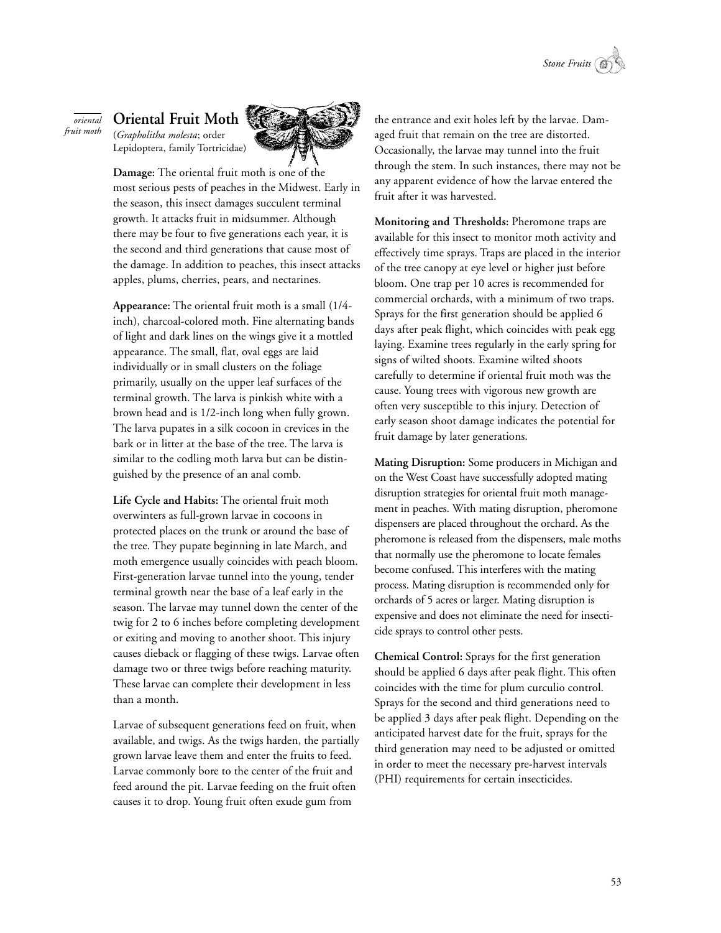

#### **Oriental Fruit Moth** *oriental fruit moth*

(*Grapholitha molesta*; order Lepidoptera, family Tortricidae)



**Damage:** The oriental fruit moth is one of the most serious pests of peaches in the Midwest. Early in the season, this insect damages succulent terminal growth. It attacks fruit in midsummer. Although there may be four to five generations each year, it is the second and third generations that cause most of the damage. In addition to peaches, this insect attacks apples, plums, cherries, pears, and nectarines.

**Appearance:** The oriental fruit moth is a small (1/4 inch), charcoal-colored moth. Fine alternating bands of light and dark lines on the wings give it a mottled appearance. The small, flat, oval eggs are laid individually or in small clusters on the foliage primarily, usually on the upper leaf surfaces of the terminal growth. The larva is pinkish white with a brown head and is 1/2-inch long when fully grown. The larva pupates in a silk cocoon in crevices in the bark or in litter at the base of the tree. The larva is similar to the codling moth larva but can be distinguished by the presence of an anal comb.

**Life Cycle and Habits:** The oriental fruit moth overwinters as full-grown larvae in cocoons in protected places on the trunk or around the base of the tree. They pupate beginning in late March, and moth emergence usually coincides with peach bloom. First-generation larvae tunnel into the young, tender terminal growth near the base of a leaf early in the season. The larvae may tunnel down the center of the twig for 2 to 6 inches before completing development or exiting and moving to another shoot. This injury causes dieback or flagging of these twigs. Larvae often damage two or three twigs before reaching maturity. These larvae can complete their development in less than a month.

Larvae of subsequent generations feed on fruit, when available, and twigs. As the twigs harden, the partially grown larvae leave them and enter the fruits to feed. Larvae commonly bore to the center of the fruit and feed around the pit. Larvae feeding on the fruit often causes it to drop. Young fruit often exude gum from

the entrance and exit holes left by the larvae. Damaged fruit that remain on the tree are distorted. Occasionally, the larvae may tunnel into the fruit through the stem. In such instances, there may not be any apparent evidence of how the larvae entered the fruit after it was harvested.

**Monitoring and Thresholds:** Pheromone traps are available for this insect to monitor moth activity and effectively time sprays. Traps are placed in the interior of the tree canopy at eye level or higher just before bloom. One trap per 10 acres is recommended for commercial orchards, with a minimum of two traps. Sprays for the first generation should be applied 6 days after peak flight, which coincides with peak egg laying. Examine trees regularly in the early spring for signs of wilted shoots. Examine wilted shoots carefully to determine if oriental fruit moth was the cause. Young trees with vigorous new growth are often very susceptible to this injury. Detection of early season shoot damage indicates the potential for fruit damage by later generations.

**Mating Disruption:** Some producers in Michigan and on the West Coast have successfully adopted mating disruption strategies for oriental fruit moth management in peaches. With mating disruption, pheromone dispensers are placed throughout the orchard. As the pheromone is released from the dispensers, male moths that normally use the pheromone to locate females become confused. This interferes with the mating process. Mating disruption is recommended only for orchards of 5 acres or larger. Mating disruption is expensive and does not eliminate the need for insecticide sprays to control other pests.

**Chemical Control:** Sprays for the first generation should be applied 6 days after peak flight. This often coincides with the time for plum curculio control. Sprays for the second and third generations need to be applied 3 days after peak flight. Depending on the anticipated harvest date for the fruit, sprays for the third generation may need to be adjusted or omitted in order to meet the necessary pre-harvest intervals (PHI) requirements for certain insecticides.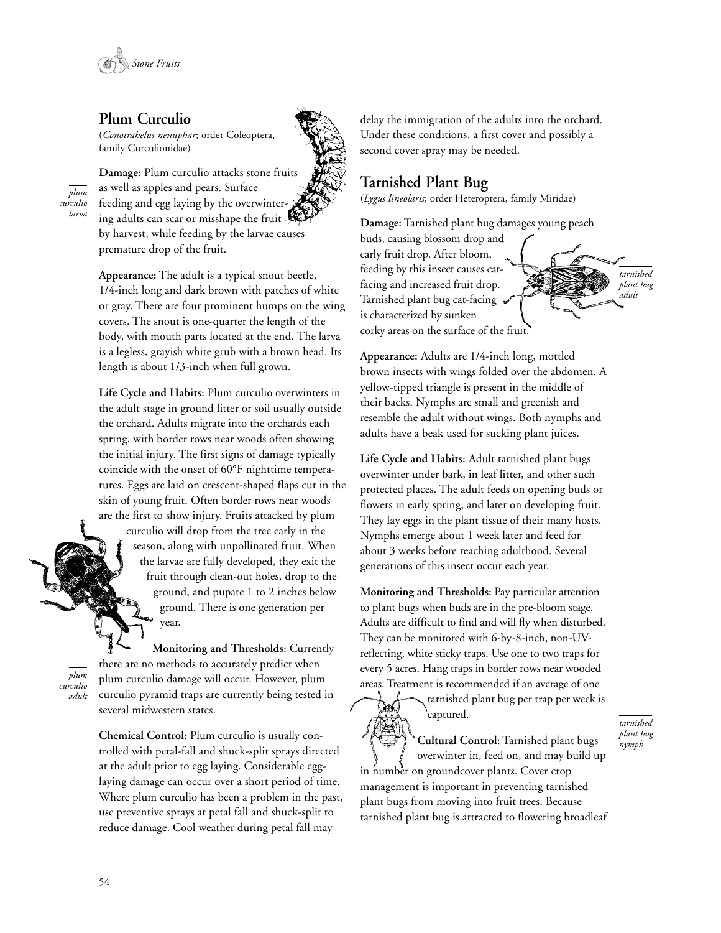

### **Plum Curculio**

(*Conotrahelus nenuphar*; order Coleoptera, family Curculionidae)

*plum curculio larva* **Damage:** Plum curculio attacks stone fruits as well as apples and pears. Surface feeding and egg laying by the overwintering adults can scar or misshape the fruit by harvest, while feeding by the larvae causes premature drop of the fruit.

**Appearance:** The adult is a typical snout beetle, 1/4-inch long and dark brown with patches of white or gray. There are four prominent humps on the wing covers. The snout is one-quarter the length of the body, with mouth parts located at the end. The larva is a legless, grayish white grub with a brown head. Its length is about 1/3-inch when full grown.

**Life Cycle and Habits:** Plum curculio overwinters in the adult stage in ground litter or soil usually outside the orchard. Adults migrate into the orchards each spring, with border rows near woods often showing the initial injury. The first signs of damage typically coincide with the onset of 60°F nighttime temperatures. Eggs are laid on crescent-shaped flaps cut in the skin of young fruit. Often border rows near woods are the first to show injury. Fruits attacked by plum

> curculio will drop from the tree early in the season, along with unpollinated fruit. When the larvae are fully developed, they exit the fruit through clean-out holes, drop to the ground, and pupate 1 to 2 inches below ground. There is one generation per year.

*plum curculio adult*

**Monitoring and Thresholds:** Currently there are no methods to accurately predict when plum curculio damage will occur. However, plum curculio pyramid traps are currently being tested in several midwestern states.

**Chemical Control:** Plum curculio is usually controlled with petal-fall and shuck-split sprays directed at the adult prior to egg laying. Considerable egglaying damage can occur over a short period of time. Where plum curculio has been a problem in the past, use preventive sprays at petal fall and shuck-split to reduce damage. Cool weather during petal fall may

delay the immigration of the adults into the orchard. Under these conditions, a first cover and possibly a second cover spray may be needed.

### **Tarnished Plant Bug**

(*Lygus lineolaris*; order Heteroptera, family Miridae)

**Damage:** Tarnished plant bug damages young peach buds, causing blossom drop and early fruit drop. After bloom, feeding by this insect causes catfacing and increased fruit drop. Tarnished plant bug cat-facing is characterized by sunken corky areas on the surface of the fruit. *tarnished plant bug adult*

**Appearance:** Adults are 1/4-inch long, mottled brown insects with wings folded over the abdomen. A yellow-tipped triangle is present in the middle of their backs. Nymphs are small and greenish and resemble the adult without wings. Both nymphs and adults have a beak used for sucking plant juices.

**Life Cycle and Habits:** Adult tarnished plant bugs overwinter under bark, in leaf litter, and other such protected places. The adult feeds on opening buds or flowers in early spring, and later on developing fruit. They lay eggs in the plant tissue of their many hosts. Nymphs emerge about 1 week later and feed for about 3 weeks before reaching adulthood. Several generations of this insect occur each year.

**Monitoring and Thresholds:** Pay particular attention to plant bugs when buds are in the pre-bloom stage. Adults are difficult to find and will fly when disturbed. They can be monitored with 6-by-8-inch, non-UVreflecting, white sticky traps. Use one to two traps for every 5 acres. Hang traps in border rows near wooded areas. Treatment is recommended if an average of one

 $\chi$ 

tarnished plant bug per trap per week is captured.

**Cultural Control:** Tarnished plant bugs overwinter in, feed on, and may build up in number on groundcover plants. Cover crop management is important in preventing tarnished plant bugs from moving into fruit trees. Because tarnished plant bug is attracted to flowering broadleaf *tarnished plant bug nymph*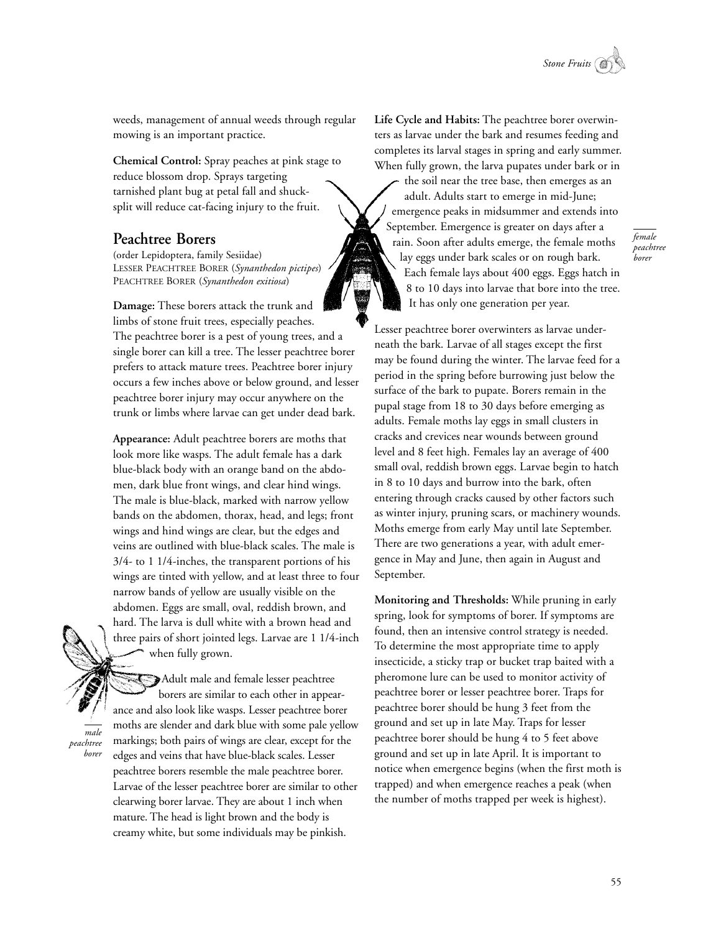

weeds, management of annual weeds through regular mowing is an important practice.

**Chemical Control:** Spray peaches at pink stage to reduce blossom drop. Sprays targeting tarnished plant bug at petal fall and shucksplit will reduce cat-facing injury to the fruit.

#### **Peachtree Borers**

(order Lepidoptera, family Sesiidae) LESSER PEACHTREE BORER (*Synanthedon pictipes*) PEACHTREE BORER (*Synanthedon exitiosa*)

**Damage:** These borers attack the trunk and limbs of stone fruit trees, especially peaches. The peachtree borer is a pest of young trees, and a single borer can kill a tree. The lesser peachtree borer prefers to attack mature trees. Peachtree borer injury occurs a few inches above or below ground, and lesser peachtree borer injury may occur anywhere on the trunk or limbs where larvae can get under dead bark.

**Appearance:** Adult peachtree borers are moths that look more like wasps. The adult female has a dark blue-black body with an orange band on the abdomen, dark blue front wings, and clear hind wings. The male is blue-black, marked with narrow yellow bands on the abdomen, thorax, head, and legs; front wings and hind wings are clear, but the edges and veins are outlined with blue-black scales. The male is 3/4- to 1 1/4-inches, the transparent portions of his wings are tinted with yellow, and at least three to four narrow bands of yellow are usually visible on the abdomen. Eggs are small, oval, reddish brown, and hard. The larva is dull white with a brown head and three pairs of short jointed legs. Larvae are 1 1/4-inch when fully grown.

Adult male and female lesser peachtree borers are similar to each other in appearance and also look like wasps. Lesser peachtree borer moths are slender and dark blue with some pale yellow markings; both pairs of wings are clear, except for the edges and veins that have blue-black scales. Lesser peachtree borers resemble the male peachtree borer. Larvae of the lesser peachtree borer are similar to other clearwing borer larvae. They are about 1 inch when mature. The head is light brown and the body is creamy white, but some individuals may be pinkish.

*male peachtree borer* **Life Cycle and Habits:** The peachtree borer overwinters as larvae under the bark and resumes feeding and completes its larval stages in spring and early summer. When fully grown, the larva pupates under bark or in

the soil near the tree base, then emerges as an adult. Adults start to emerge in mid-June; emergence peaks in midsummer and extends into September. Emergence is greater on days after a rain. Soon after adults emerge, the female moths lay eggs under bark scales or on rough bark. Each female lays about 400 eggs. Eggs hatch in 8 to 10 days into larvae that bore into the tree. It has only one generation per year.

*female peachtree borer*

Lesser peachtree borer overwinters as larvae underneath the bark. Larvae of all stages except the first may be found during the winter. The larvae feed for a period in the spring before burrowing just below the surface of the bark to pupate. Borers remain in the pupal stage from 18 to 30 days before emerging as adults. Female moths lay eggs in small clusters in cracks and crevices near wounds between ground level and 8 feet high. Females lay an average of 400 small oval, reddish brown eggs. Larvae begin to hatch in 8 to 10 days and burrow into the bark, often entering through cracks caused by other factors such as winter injury, pruning scars, or machinery wounds. Moths emerge from early May until late September. There are two generations a year, with adult emergence in May and June, then again in August and September.

**Monitoring and Thresholds:** While pruning in early spring, look for symptoms of borer. If symptoms are found, then an intensive control strategy is needed. To determine the most appropriate time to apply insecticide, a sticky trap or bucket trap baited with a pheromone lure can be used to monitor activity of peachtree borer or lesser peachtree borer. Traps for peachtree borer should be hung 3 feet from the ground and set up in late May. Traps for lesser peachtree borer should be hung 4 to 5 feet above ground and set up in late April. It is important to notice when emergence begins (when the first moth is trapped) and when emergence reaches a peak (when the number of moths trapped per week is highest).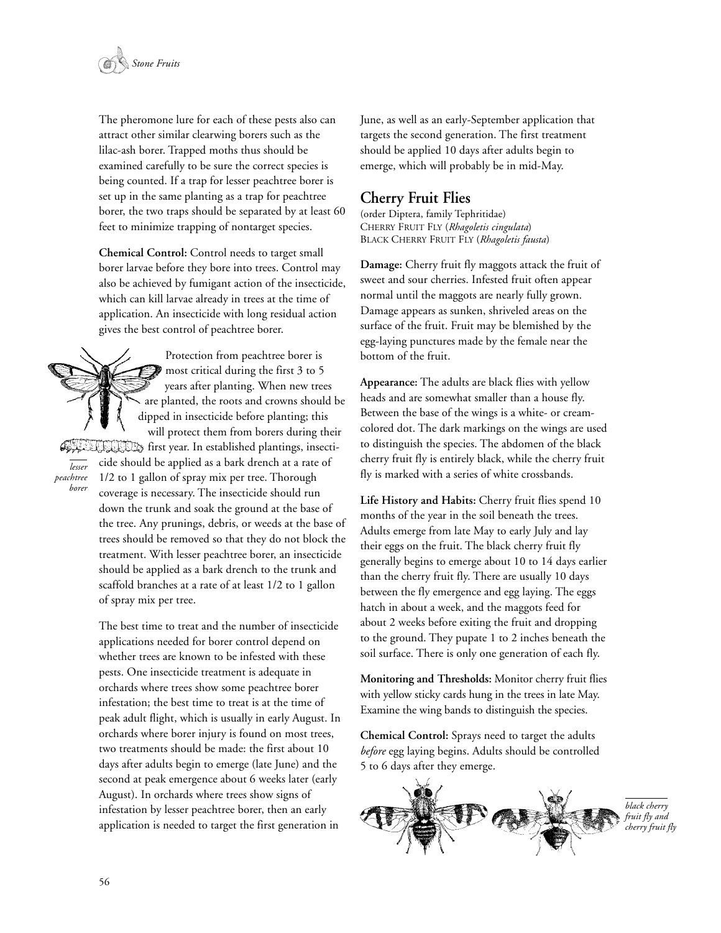

The pheromone lure for each of these pests also can attract other similar clearwing borers such as the lilac-ash borer. Trapped moths thus should be examined carefully to be sure the correct species is being counted. If a trap for lesser peachtree borer is set up in the same planting as a trap for peachtree borer, the two traps should be separated by at least 60 feet to minimize trapping of nontarget species.

**Chemical Control:** Control needs to target small borer larvae before they bore into trees. Control may also be achieved by fumigant action of the insecticide, which can kill larvae already in trees at the time of application. An insecticide with long residual action gives the best control of peachtree borer.

Protection from peachtree borer is most critical during the first 3 to 5 years after planting. When new trees are planted, the roots and crowns should be dipped in insecticide before planting; this will protect them from borers during their Africi first year. In established plantings, insecticide should be applied as a bark drench at a rate of 1/2 to 1 gallon of spray mix per tree. Thorough coverage is necessary. The insecticide should run down the trunk and soak the ground at the base of the tree. Any prunings, debris, or weeds at the base of trees should be removed so that they do not block the treatment. With lesser peachtree borer, an insecticide should be applied as a bark drench to the trunk and scaffold branches at a rate of at least 1/2 to 1 gallon of spray mix per tree.

> The best time to treat and the number of insecticide applications needed for borer control depend on whether trees are known to be infested with these pests. One insecticide treatment is adequate in orchards where trees show some peachtree borer infestation; the best time to treat is at the time of peak adult flight, which is usually in early August. In orchards where borer injury is found on most trees, two treatments should be made: the first about 10 days after adults begin to emerge (late June) and the second at peak emergence about 6 weeks later (early August). In orchards where trees show signs of infestation by lesser peachtree borer, then an early application is needed to target the first generation in

June, as well as an early-September application that targets the second generation. The first treatment should be applied 10 days after adults begin to emerge, which will probably be in mid-May.

#### **Cherry Fruit Flies**

(order Diptera, family Tephritidae) CHERRY FRUIT FLY (*Rhagoletis cingulata*) BLACK CHERRY FRUIT FLY (*Rhagoletis fausta*)

**Damage:** Cherry fruit fly maggots attack the fruit of sweet and sour cherries. Infested fruit often appear normal until the maggots are nearly fully grown. Damage appears as sunken, shriveled areas on the surface of the fruit. Fruit may be blemished by the egg-laying punctures made by the female near the bottom of the fruit.

**Appearance:** The adults are black flies with yellow heads and are somewhat smaller than a house fly. Between the base of the wings is a white- or creamcolored dot. The dark markings on the wings are used to distinguish the species. The abdomen of the black cherry fruit fly is entirely black, while the cherry fruit fly is marked with a series of white crossbands.

**Life History and Habits:** Cherry fruit flies spend 10 months of the year in the soil beneath the trees. Adults emerge from late May to early July and lay their eggs on the fruit. The black cherry fruit fly generally begins to emerge about 10 to 14 days earlier than the cherry fruit fly. There are usually 10 days between the fly emergence and egg laying. The eggs hatch in about a week, and the maggots feed for about 2 weeks before exiting the fruit and dropping to the ground. They pupate 1 to 2 inches beneath the soil surface. There is only one generation of each fly.

**Monitoring and Thresholds:** Monitor cherry fruit flies with yellow sticky cards hung in the trees in late May. Examine the wing bands to distinguish the species.

**Chemical Control:** Sprays need to target the adults *before* egg laying begins. Adults should be controlled 5 to 6 days after they emerge.



*lesser peachtree borer*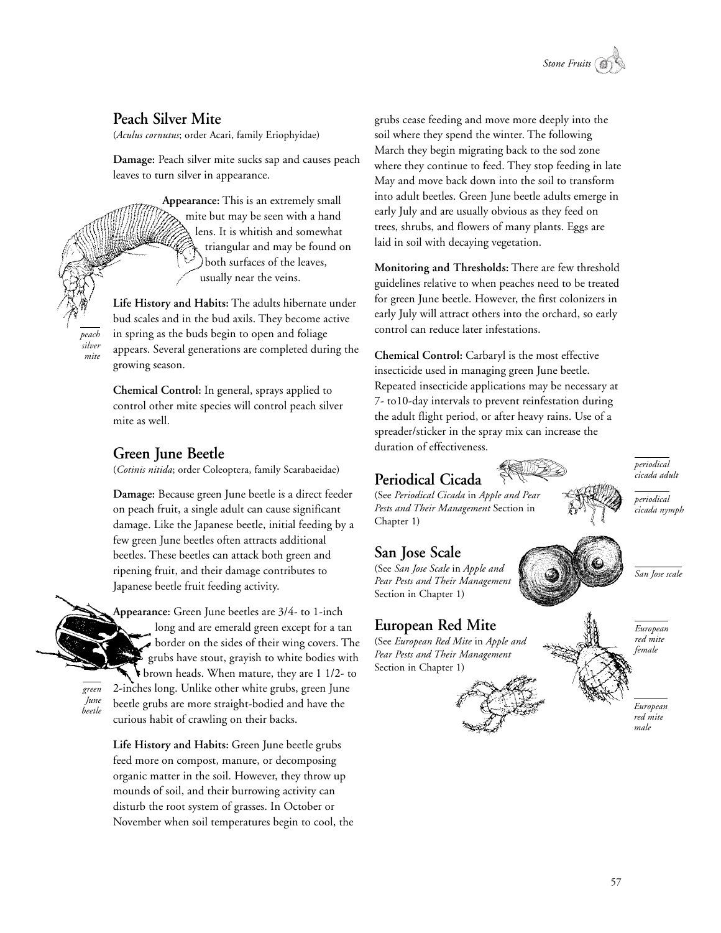

# **Peach Silver Mite**

(*Aculus cornutus*; order Acari, family Eriophyidae)

**Damage:** Peach silver mite sucks sap and causes peach leaves to turn silver in appearance.

> **Appearance:** This is an extremely small mite but may be seen with a hand lens. It is whitish and somewhat triangular and may be found on both surfaces of the leaves, usually near the veins.

**Life History and Habits:** The adults hibernate under bud scales and in the bud axils. They become active in spring as the buds begin to open and foliage appears. Several generations are completed during the growing season.

**Chemical Control:** In general, sprays applied to control other mite species will control peach silver mite as well.

# **Green June Beetle**

(*Cotinis nitida*; order Coleoptera, family Scarabaeidae)

**Damage:** Because green June beetle is a direct feeder on peach fruit, a single adult can cause significant damage. Like the Japanese beetle, initial feeding by a few green June beetles often attracts additional beetles. These beetles can attack both green and ripening fruit, and their damage contributes to Japanese beetle fruit feeding activity.



*green June beetle*

*peach silver mite*

> **Appearance:** Green June beetles are 3/4- to 1-inch long and are emerald green except for a tan border on the sides of their wing covers. The grubs have stout, grayish to white bodies with brown heads. When mature, they are 1 1/2- to 2-inches long. Unlike other white grubs, green June beetle grubs are more straight-bodied and have the curious habit of crawling on their backs.

**Life History and Habits:** Green June beetle grubs feed more on compost, manure, or decomposing organic matter in the soil. However, they throw up mounds of soil, and their burrowing activity can disturb the root system of grasses. In October or November when soil temperatures begin to cool, the grubs cease feeding and move more deeply into the soil where they spend the winter. The following March they begin migrating back to the sod zone where they continue to feed. They stop feeding in late May and move back down into the soil to transform into adult beetles. Green June beetle adults emerge in early July and are usually obvious as they feed on trees, shrubs, and flowers of many plants. Eggs are laid in soil with decaying vegetation.

**Monitoring and Thresholds:** There are few threshold guidelines relative to when peaches need to be treated for green June beetle. However, the first colonizers in early July will attract others into the orchard, so early control can reduce later infestations.

**Chemical Control:** Carbaryl is the most effective insecticide used in managing green June beetle. Repeated insecticide applications may be necessary at 7- to10-day intervals to prevent reinfestation during the adult flight period, or after heavy rains. Use of a spreader/sticker in the spray mix can increase the duration of effectiveness.

# **Periodical Cicada**



*periodical cicada adult*

*periodical cicada nymph*

*San Jose scale*

# **San Jose Scale**

Chapter 1)

(See *San Jose Scale* in *Apple and Pear Pests and Their Management* Section in Chapter 1)

#### **European Red Mite**

(See *European Red Mite* in *Apple and Pear Pests and Their Management* Section in Chapter 1)



*European red mite female*

*European red mite male*

57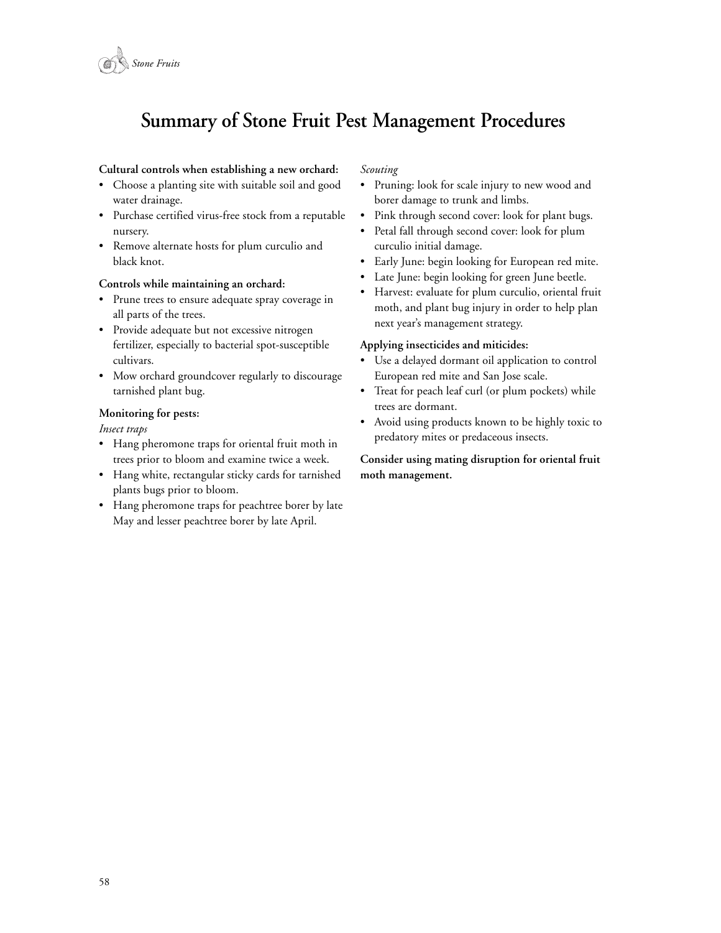

# **Summary of Stone Fruit Pest Management Procedures**

#### **Cultural controls when establishing a new orchard:**

- Choose a planting site with suitable soil and good water drainage.
- Purchase certified virus-free stock from a reputable nursery.
- Remove alternate hosts for plum curculio and black knot.

#### **Controls while maintaining an orchard:**

- Prune trees to ensure adequate spray coverage in all parts of the trees.
- Provide adequate but not excessive nitrogen fertilizer, especially to bacterial spot-susceptible cultivars.
- Mow orchard groundcover regularly to discourage tarnished plant bug.

#### **Monitoring for pests:**

#### *Insect traps*

- Hang pheromone traps for oriental fruit moth in trees prior to bloom and examine twice a week.
- Hang white, rectangular sticky cards for tarnished plants bugs prior to bloom.
- Hang pheromone traps for peachtree borer by late May and lesser peachtree borer by late April.

#### *Scouting*

- Pruning: look for scale injury to new wood and borer damage to trunk and limbs.
- Pink through second cover: look for plant bugs.
- Petal fall through second cover: look for plum curculio initial damage.
- Early June: begin looking for European red mite.
- Late June: begin looking for green June beetle.
- Harvest: evaluate for plum curculio, oriental fruit moth, and plant bug injury in order to help plan next year's management strategy.

#### **Applying insecticides and miticides:**

- Use a delayed dormant oil application to control European red mite and San Jose scale.
- Treat for peach leaf curl (or plum pockets) while trees are dormant.
- Avoid using products known to be highly toxic to predatory mites or predaceous insects.

**Consider using mating disruption for oriental fruit moth management.**